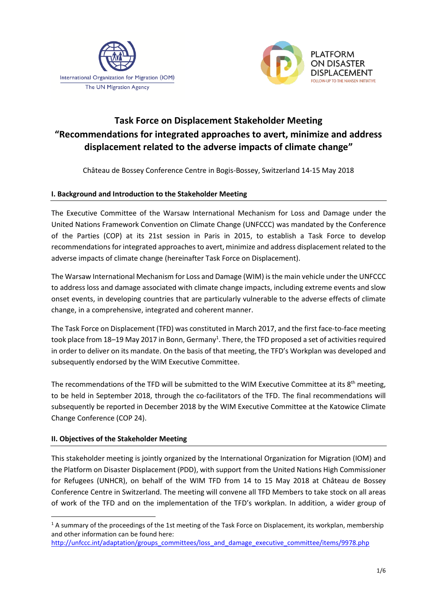



# **Task Force on Displacement Stakeholder Meeting "Recommendations for integrated approaches to avert, minimize and address displacement related to the adverse impacts of climate change"**

Château de Bossey Conference Centre in Bogis-Bossey, Switzerland 14-15 May 2018

#### **I. Background and Introduction to the Stakeholder Meeting**

The Executive Committee of the Warsaw International Mechanism for Loss and Damage under the United Nations Framework Convention on Climate Change (UNFCCC) was mandated by the Conference of the Parties (COP) at its 21st session in Paris in 2015, to establish a Task Force to develop recommendations for integrated approaches to avert, minimize and address displacement related to the adverse impacts of climate change (hereinafter Task Force on Displacement).

The Warsaw International Mechanism for Loss and Damage (WIM) is the main vehicle under the UNFCCC to address loss and damage associated with climate change impacts, including extreme events and slow onset events, in developing countries that are particularly vulnerable to the adverse effects of climate change, in a comprehensive, integrated and coherent manner.

The Task Force on Displacement (TFD) was constituted in March 2017, and the first face-to-face meeting took place from 18–19 May 2017 in Bonn, Germany<sup>1</sup>. There, the TFD proposed a set of activities required in order to deliver on its mandate. On the basis of that meeting, the TFD's Workplan was developed and subsequently endorsed by the WIM Executive Committee.

The recommendations of the TFD will be submitted to the WIM Executive Committee at its 8<sup>th</sup> meeting, to be held in September 2018, through the co-facilitators of the TFD. The final recommendations will subsequently be reported in December 2018 by the WIM Executive Committee at the Katowice Climate Change Conference (COP 24).

#### **II. Objectives of the Stakeholder Meeting**

 $\overline{\phantom{a}}$ 

This stakeholder meeting is jointly organized by the International Organization for Migration (IOM) and the Platform on Disaster Displacement (PDD), with support from the United Nations High Commissioner for Refugees (UNHCR), on behalf of the WIM TFD from 14 to 15 May 2018 at Château de Bossey Conference Centre in Switzerland. The meeting will convene all TFD Members to take stock on all areas of work of the TFD and on the implementation of the TFD's workplan. In addition, a wider group of

<sup>&</sup>lt;sup>1</sup> A summary of the proceedings of the 1st meeting of the Task Force on Displacement, its workplan, membership and other information can be found here:

[http://unfccc.int/adaptation/groups\\_committees/loss\\_and\\_damage\\_executive\\_committee/items/9978.php](http://unfccc.int/adaptation/groups_committees/loss_and_damage_executive_committee/items/9978.php)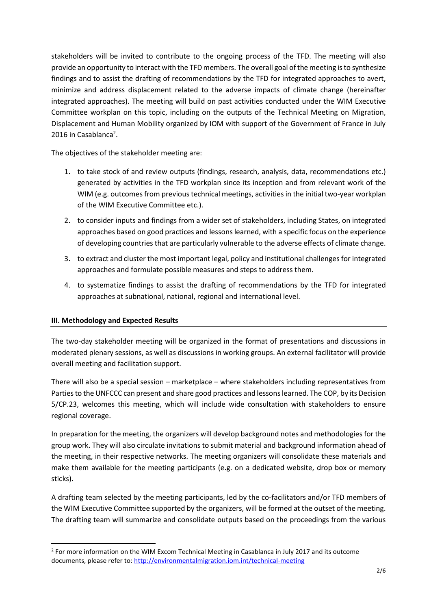stakeholders will be invited to contribute to the ongoing process of the TFD. The meeting will also provide an opportunity to interact with the TFD members. The overall goal of the meeting is to synthesize findings and to assist the drafting of recommendations by the TFD for integrated approaches to avert, minimize and address displacement related to the adverse impacts of climate change (hereinafter integrated approaches). The meeting will build on past activities conducted under the WIM Executive Committee workplan on this topic, including on the outputs of the Technical Meeting on Migration, Displacement and Human Mobility organized by IOM with support of the Government of France in July 2016 in Casablanca<sup>2</sup>.

The objectives of the stakeholder meeting are:

- 1. to take stock of and review outputs (findings, research, analysis, data, recommendations etc.) generated by activities in the TFD workplan since its inception and from relevant work of the WIM (e.g. outcomes from previous technical meetings, activities in the initial two-year workplan of the WIM Executive Committee etc.).
- 2. to consider inputs and findings from a wider set of stakeholders, including States, on integrated approaches based on good practices and lessons learned, with a specific focus on the experience of developing countries that are particularly vulnerable to the adverse effects of climate change.
- 3. to extract and cluster the most important legal, policy and institutional challenges for integrated approaches and formulate possible measures and steps to address them.
- 4. to systematize findings to assist the drafting of recommendations by the TFD for integrated approaches at subnational, national, regional and international level.

### **III. Methodology and Expected Results**

 $\overline{a}$ 

The two-day stakeholder meeting will be organized in the format of presentations and discussions in moderated plenary sessions, as well as discussions in working groups. An external facilitator will provide overall meeting and facilitation support.

There will also be a special session – marketplace – where stakeholders including representatives from Parties to the UNFCCC can present and share good practices and lessonslearned. The COP, by it[s Decision](http://unfccc.int/documentation/documents/advanced_search/items/3594.php?rec=j&priref=600009904#beg) 5/CP.23, welcomes this meeting, which will include wide consultation with stakeholders to ensure regional coverage.

In preparation for the meeting, the organizers will develop background notes and methodologies for the group work. They will also circulate invitations to submit material and background information ahead of the meeting, in their respective networks. The meeting organizers will consolidate these materials and make them available for the meeting participants (e.g. on a dedicated website, drop box or memory sticks).

A drafting team selected by the meeting participants, led by the co-facilitators and/or TFD members of the WIM Executive Committee supported by the organizers, will be formed at the outset of the meeting. The drafting team will summarize and consolidate outputs based on the proceedings from the various

<sup>&</sup>lt;sup>2</sup> For more information on the WIM Excom Technical Meeting in Casablanca in July 2017 and its outcome documents, please refer to:<http://environmentalmigration.iom.int/technical-meeting>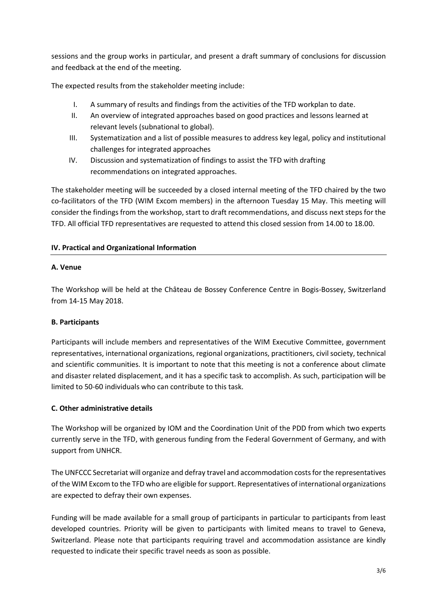sessions and the group works in particular, and present a draft summary of conclusions for discussion and feedback at the end of the meeting.

The expected results from the stakeholder meeting include:

- I. A summary of results and findings from the activities of the TFD workplan to date.
- II. An overview of integrated approaches based on good practices and lessons learned at relevant levels (subnational to global).
- III. Systematization and a list of possible measures to address key legal, policy and institutional challenges for integrated approaches
- IV. Discussion and systematization of findings to assist the TFD with drafting recommendations on integrated approaches.

The stakeholder meeting will be succeeded by a closed internal meeting of the TFD chaired by the two co-facilitators of the TFD (WIM Excom members) in the afternoon Tuesday 15 May. This meeting will consider the findings from the workshop, start to draft recommendations, and discuss next steps for the TFD. All official TFD representatives are requested to attend this closed session from 14.00 to 18.00.

#### **IV. Practical and Organizational Information**

#### **A. Venue**

The Workshop will be held at the Château de Bossey Conference Centre in Bogis-Bossey, Switzerland from 14-15 May 2018.

#### **B. Participants**

Participants will include members and representatives of the WIM Executive Committee, government representatives, international organizations, regional organizations, practitioners, civilsociety, technical and scientific communities. It is important to note that this meeting is not a conference about climate and disaster related displacement, and it has a specific task to accomplish. As such, participation will be limited to 50-60 individuals who can contribute to this task.

#### **C. Other administrative details**

The Workshop will be organized by IOM and the Coordination Unit of the PDD from which two experts currently serve in the TFD, with generous funding from the Federal Government of Germany, and with support from UNHCR.

The UNFCCC Secretariat will organize and defray travel and accommodation costs for the representatives of the WIM Excom to the TFD who are eligible for support. Representatives of international organizations are expected to defray their own expenses.

Funding will be made available for a small group of participants in particular to participants from least developed countries. Priority will be given to participants with limited means to travel to Geneva, Switzerland. Please note that participants requiring travel and accommodation assistance are kindly requested to indicate their specific travel needs as soon as possible.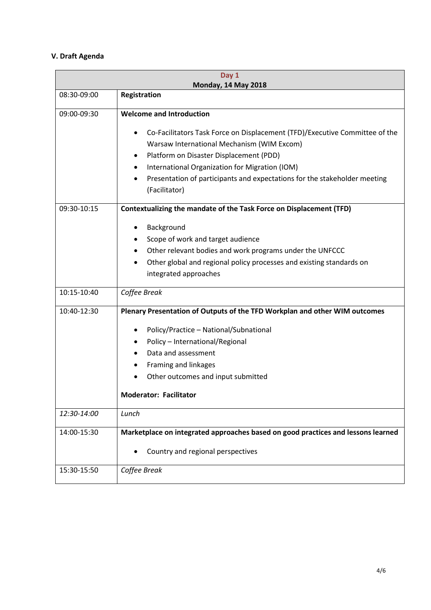## **V. Draft Agenda**

| Day 1<br><b>Monday, 14 May 2018</b> |                                                                                                                                                                                                                                                                                                                                                     |
|-------------------------------------|-----------------------------------------------------------------------------------------------------------------------------------------------------------------------------------------------------------------------------------------------------------------------------------------------------------------------------------------------------|
| 08:30-09:00                         | Registration                                                                                                                                                                                                                                                                                                                                        |
| 09:00-09:30                         | <b>Welcome and Introduction</b>                                                                                                                                                                                                                                                                                                                     |
|                                     | Co-Facilitators Task Force on Displacement (TFD)/Executive Committee of the<br>Warsaw International Mechanism (WIM Excom)<br>Platform on Disaster Displacement (PDD)<br>$\bullet$<br>International Organization for Migration (IOM)<br>٠<br>Presentation of participants and expectations for the stakeholder meeting<br>$\bullet$<br>(Facilitator) |
| 09:30-10:15                         | Contextualizing the mandate of the Task Force on Displacement (TFD)                                                                                                                                                                                                                                                                                 |
|                                     | Background<br>Scope of work and target audience<br>Other relevant bodies and work programs under the UNFCCC<br>٠<br>Other global and regional policy processes and existing standards on<br>integrated approaches                                                                                                                                   |
| 10:15-10:40                         | Coffee Break                                                                                                                                                                                                                                                                                                                                        |
| 10:40-12:30                         | Plenary Presentation of Outputs of the TFD Workplan and other WIM outcomes<br>Policy/Practice - National/Subnational<br>Policy - International/Regional<br>Data and assessment<br>$\bullet$<br>Framing and linkages<br>Other outcomes and input submitted<br><b>Moderator: Facilitator</b>                                                          |
| 12:30-14:00                         | Lunch                                                                                                                                                                                                                                                                                                                                               |
| 14:00-15:30                         | Marketplace on integrated approaches based on good practices and lessons learned<br>Country and regional perspectives                                                                                                                                                                                                                               |
| 15:30-15:50                         | Coffee Break                                                                                                                                                                                                                                                                                                                                        |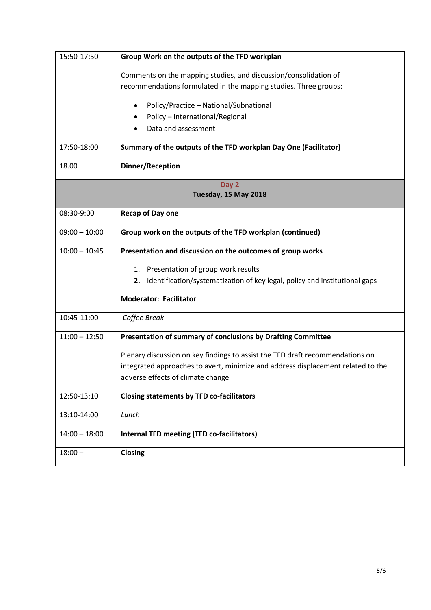| 15:50-17:50          | Group Work on the outputs of the TFD workplan                                    |  |
|----------------------|----------------------------------------------------------------------------------|--|
|                      | Comments on the mapping studies, and discussion/consolidation of                 |  |
|                      | recommendations formulated in the mapping studies. Three groups:                 |  |
|                      | Policy/Practice - National/Subnational<br>٠                                      |  |
|                      | Policy - International/Regional                                                  |  |
|                      | Data and assessment                                                              |  |
|                      |                                                                                  |  |
| 17:50-18:00          | Summary of the outputs of the TFD workplan Day One (Facilitator)                 |  |
| 18.00                | <b>Dinner/Reception</b>                                                          |  |
| Day 2                |                                                                                  |  |
| Tuesday, 15 May 2018 |                                                                                  |  |
| 08:30-9:00           | Recap of Day one                                                                 |  |
| $09:00 - 10:00$      | Group work on the outputs of the TFD workplan (continued)                        |  |
| $10:00 - 10:45$      | Presentation and discussion on the outcomes of group works                       |  |
|                      | 1. Presentation of group work results                                            |  |
|                      | 2. Identification/systematization of key legal, policy and institutional gaps    |  |
|                      | <b>Moderator: Facilitator</b>                                                    |  |
| 10:45-11:00          | Coffee Break                                                                     |  |
| $11:00 - 12:50$      | Presentation of summary of conclusions by Drafting Committee                     |  |
|                      | Plenary discussion on key findings to assist the TFD draft recommendations on    |  |
|                      | integrated approaches to avert, minimize and address displacement related to the |  |
|                      | adverse effects of climate change                                                |  |
| 12:50-13:10          | <b>Closing statements by TFD co-facilitators</b>                                 |  |
| 13:10-14:00          | Lunch                                                                            |  |
| $14:00 - 18:00$      | Internal TFD meeting (TFD co-facilitators)                                       |  |
| $18:00 -$            | Closing                                                                          |  |